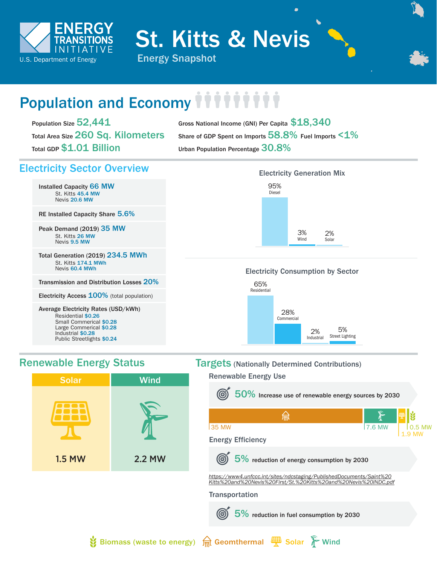

St. Kitts & Nevis

# Population and Economy *iiiiiii*

Population Size 52,441 Total Area Size 260 Sq. Kilometers Total GDP \$1.01 Billion

Gross National Income (GNI) Per Capita \$18,340 Share of GDP Spent on Imports  $58.8\%$  Fuel Imports  $1\%$ Urban Population Percentage 30.8%

# Electricity Sector Overview

Installed Capacity 66 MW St. Kitts 45.4 MW Nevis 20.6 MW

RE Installed Capacity Share 5.6%

Peak Demand (2019) 35 MW St. Kitts 26 MW Nevis 9.5 MW

Total Generation (2019) 234.5 MWh St. Kitts 174.1 MWh Nevis 60.4 MWh

Transmission and Distribution Losses 20%

Electricity Access 100% (total population)

Average Electricity Rates (USD/kWh) Residential \$0.26 Small Commerical \$0.28 Large Commerical \$0.28 Industrial \$0.28 Public Streetlights \$0.24

# Electricity Generation Mix 95% Diesel 2% Solar 3% Wind

## Electricity Consumption by Sector





# Renewable Energy Status Targets (Nationally Determined Contributions)

Renewable Energy Use